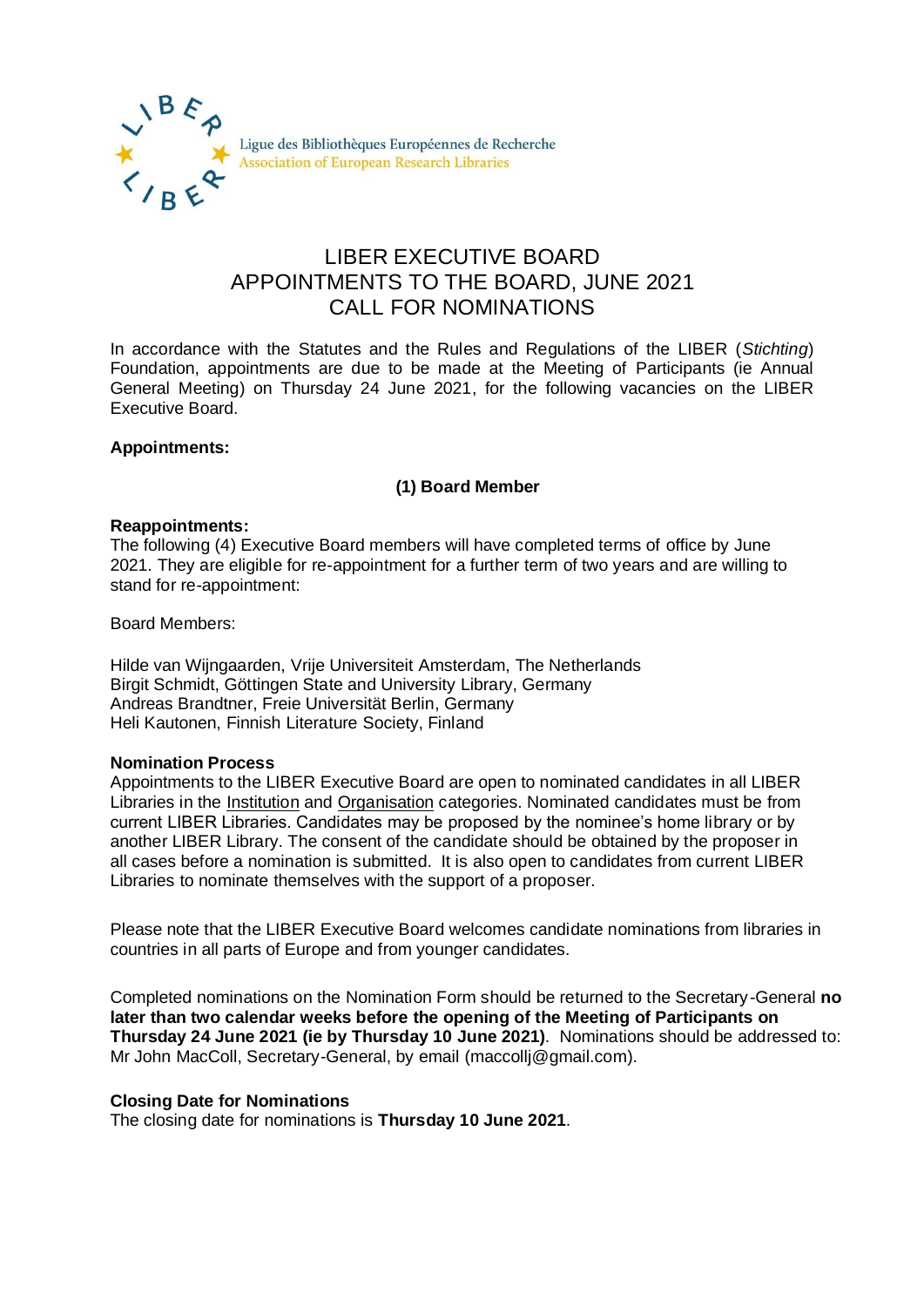

# LIBER EXECUTIVE BOARD APPOINTMENTS TO THE BOARD, JUNE 2021 CALL FOR NOMINATIONS

In accordance with the Statutes and the Rules and Regulations of the LIBER (*Stichting*) Foundation, appointments are due to be made at the Meeting of Participants (ie Annual General Meeting) on Thursday 24 June 2021, for the following vacancies on the LIBER Executive Board.

## **Appointments:**

## **(1) Board Member**

### **Reappointments:**

The following (4) Executive Board members will have completed terms of office by June 2021. They are eligible for re-appointment for a further term of two years and are willing to stand for re-appointment:

Board Members:

Hilde van Wijngaarden, Vrije Universiteit Amsterdam, The Netherlands Birgit Schmidt, Göttingen State and University Library, Germany Andreas Brandtner, Freie Universität Berlin, Germany Heli Kautonen, Finnish Literature Society, Finland

#### **Nomination Process**

Appointments to the LIBER Executive Board are open to nominated candidates in all LIBER Libraries in the Institution and Organisation categories. Nominated candidates must be from current LIBER Libraries. Candidates may be proposed by the nominee's home library or by another LIBER Library. The consent of the candidate should be obtained by the proposer in all cases before a nomination is submitted. It is also open to candidates from current LIBER Libraries to nominate themselves with the support of a proposer.

Please note that the LIBER Executive Board welcomes candidate nominations from libraries in countries in all parts of Europe and from younger candidates.

Completed nominations on the Nomination Form should be returned to the Secretary-General **no later than two calendar weeks before the opening of the Meeting of Participants on Thursday 24 June 2021 (ie by Thursday 10 June 2021)**. Nominations should be addressed to: Mr John MacColl, Secretary-General, by email (maccollj@gmail.com).

## **Closing Date for Nominations**

The closing date for nominations is **Thursday 10 June 2021**.